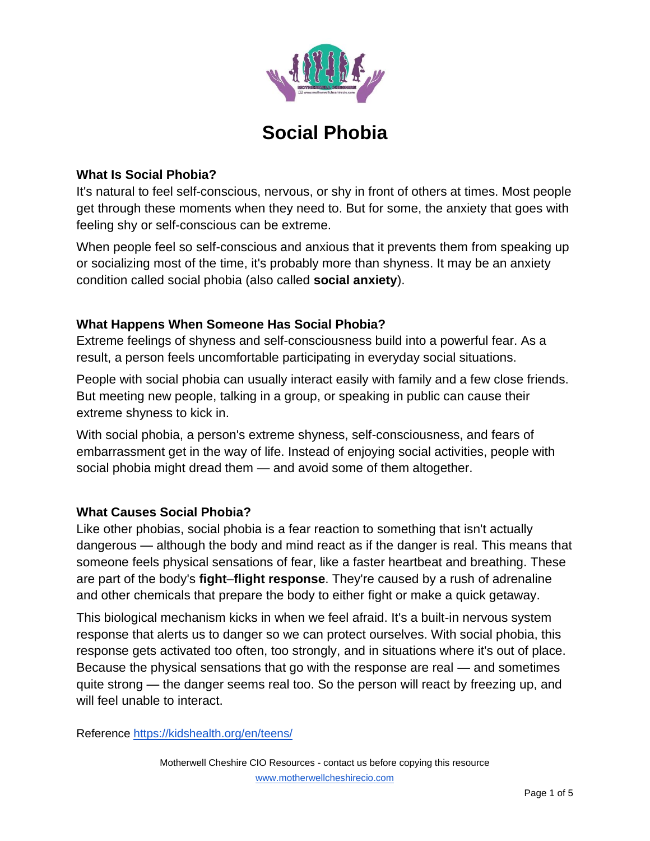

# **Social Phobia**

### **What Is Social Phobia?**

It's natural to feel self-conscious, nervous, or shy in front of others at times. Most people get through these moments when they need to. But for some, the anxiety that goes with feeling shy or self-conscious can be extreme.

When people feel so self-conscious and anxious that it prevents them from speaking up or socializing most of the time, it's probably more than shyness. It may be an anxiety condition called social phobia (also called **social anxiety**).

### **What Happens When Someone Has Social Phobia?**

Extreme feelings of shyness and self-consciousness build into a powerful fear. As a result, a person feels uncomfortable participating in everyday social situations.

People with social phobia can usually interact easily with family and a few close friends. But meeting new people, talking in a group, or speaking in public can cause their extreme shyness to kick in.

With social phobia, a person's extreme shyness, self-consciousness, and fears of embarrassment get in the way of life. Instead of enjoying social activities, people with social phobia might dread them — and avoid some of them altogether.

## **What Causes Social Phobia?**

Like other phobias, social phobia is a fear reaction to something that isn't actually dangerous — although the body and mind react as if the danger is real. This means that someone feels physical sensations of fear, like a faster heartbeat and breathing. These are part of the body's **fight**–**flight response**. They're caused by a rush of adrenaline and other chemicals that prepare the body to either fight or make a quick getaway.

This biological mechanism kicks in when we feel afraid. It's a built-in nervous system response that alerts us to danger so we can protect ourselves. With social phobia, this response gets activated too often, too strongly, and in situations where it's out of place. Because the physical sensations that go with the response are real — and sometimes quite strong — the danger seems real too. So the person will react by freezing up, and will feel unable to interact.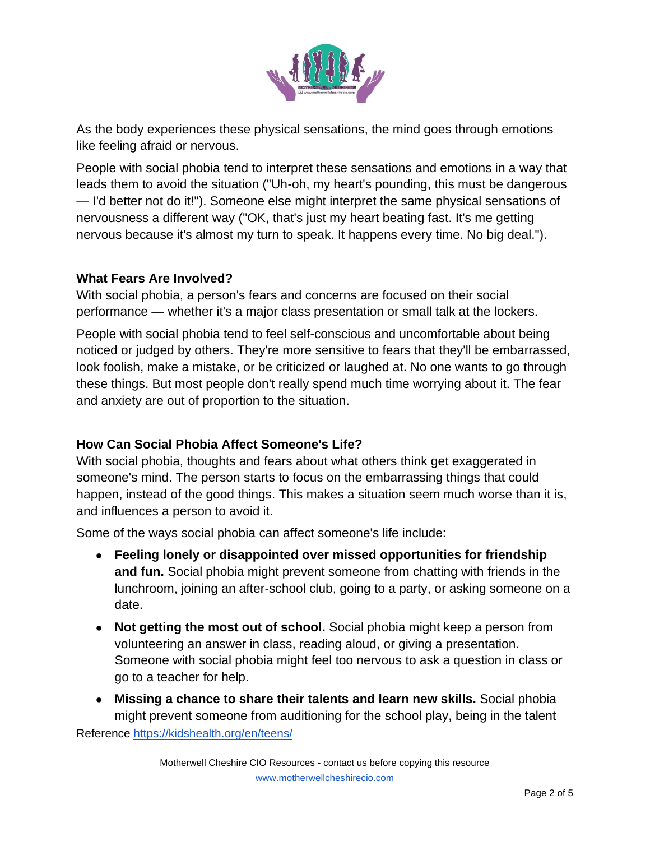

As the body experiences these physical sensations, the mind goes through emotions like feeling afraid or nervous.

People with social phobia tend to interpret these sensations and emotions in a way that leads them to avoid the situation ("Uh-oh, my heart's pounding, this must be dangerous — I'd better not do it!"). Someone else might interpret the same physical sensations of nervousness a different way ("OK, that's just my heart beating fast. It's me getting nervous because it's almost my turn to speak. It happens every time. No big deal.").

### **What Fears Are Involved?**

With social phobia, a person's fears and concerns are focused on their social performance — whether it's a major class presentation or small talk at the lockers.

People with social phobia tend to feel self-conscious and uncomfortable about being noticed or judged by others. They're more sensitive to fears that they'll be embarrassed, look foolish, make a mistake, or be criticized or laughed at. No one wants to go through these things. But most people don't really spend much time worrying about it. The fear and anxiety are out of proportion to the situation.

## **How Can Social Phobia Affect Someone's Life?**

With social phobia, thoughts and fears about what others think get exaggerated in someone's mind. The person starts to focus on the embarrassing things that could happen, instead of the good things. This makes a situation seem much worse than it is, and influences a person to avoid it.

Some of the ways social phobia can affect someone's life include:

- **Feeling lonely or disappointed over missed opportunities for friendship and fun.** Social phobia might prevent someone from chatting with friends in the lunchroom, joining an after-school club, going to a party, or asking someone on a date.
- **Not getting the most out of school.** Social phobia might keep a person from volunteering an answer in class, reading aloud, or giving a presentation. Someone with social phobia might feel too nervous to ask a question in class or go to a teacher for help.
- Reference<https://kidshealth.org/en/teens/> ● **Missing a chance to share their talents and learn new skills.** Social phobia might prevent someone from auditioning for the school play, being in the talent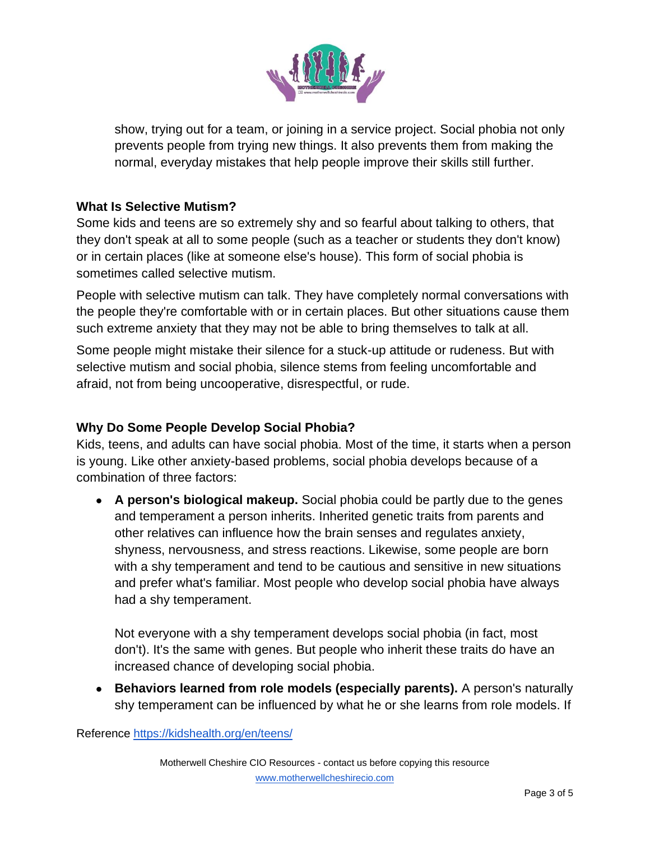

show, trying out for a team, or joining in a service project. Social phobia not only prevents people from trying new things. It also prevents them from making the normal, everyday mistakes that help people improve their skills still further.

### **What Is Selective Mutism?**

Some kids and teens are so extremely shy and so fearful about talking to others, that they don't speak at all to some people (such as a teacher or students they don't know) or in certain places (like at someone else's house). This form of social phobia is sometimes called selective mutism.

People with selective mutism can talk. They have completely normal conversations with the people they're comfortable with or in certain places. But other situations cause them such extreme anxiety that they may not be able to bring themselves to talk at all.

Some people might mistake their silence for a stuck-up attitude or rudeness. But with selective mutism and social phobia, silence stems from feeling uncomfortable and afraid, not from being uncooperative, disrespectful, or rude.

## **Why Do Some People Develop Social Phobia?**

Kids, teens, and adults can have social phobia. Most of the time, it starts when a person is young. Like other anxiety-based problems, social phobia develops because of a combination of three factors:

● **A person's biological makeup.** Social phobia could be partly due to the genes and temperament a person inherits. Inherited genetic traits from parents and other relatives can influence how the brain senses and regulates anxiety, shyness, nervousness, and stress reactions. Likewise, some people are born with a shy temperament and tend to be cautious and sensitive in new situations and prefer what's familiar. Most people who develop social phobia have always had a shy temperament.

Not everyone with a shy temperament develops social phobia (in fact, most don't). It's the same with genes. But people who inherit these traits do have an increased chance of developing social phobia.

● **Behaviors learned from role models (especially parents).** A person's naturally shy temperament can be influenced by what he or she learns from role models. If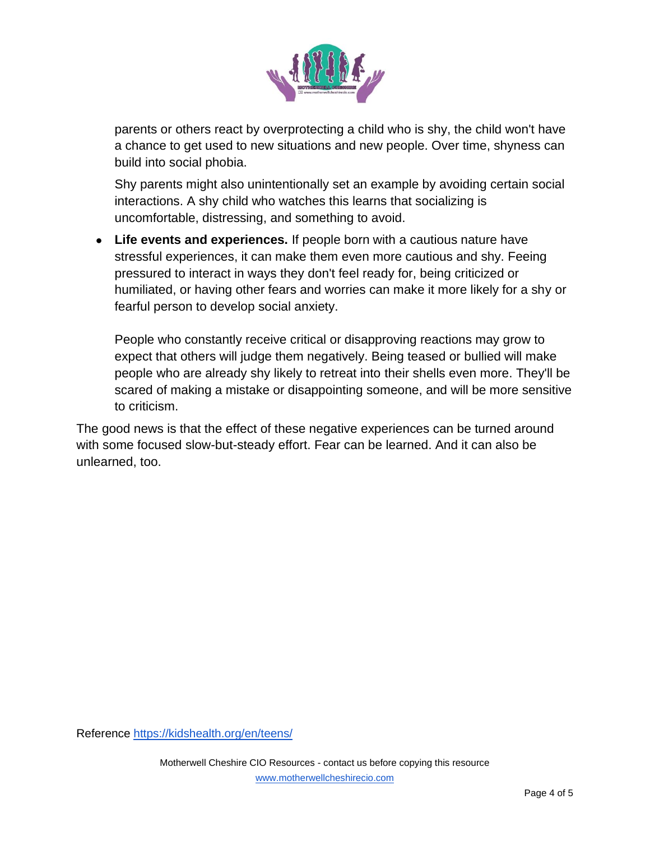

parents or others react by overprotecting a child who is shy, the child won't have a chance to get used to new situations and new people. Over time, shyness can build into social phobia.

Shy parents might also unintentionally set an example by avoiding certain social interactions. A shy child who watches this learns that socializing is uncomfortable, distressing, and something to avoid.

● **Life events and experiences.** If people born with a cautious nature have stressful experiences, it can make them even more cautious and shy. Feeing pressured to interact in ways they don't feel ready for, being criticized or humiliated, or having other fears and worries can make it more likely for a shy or fearful person to develop social anxiety.

People who constantly receive critical or disapproving reactions may grow to expect that others will judge them negatively. Being teased or bullied will make people who are already shy likely to retreat into their shells even more. They'll be scared of making a mistake or disappointing someone, and will be more sensitive to criticism.

The good news is that the effect of these negative experiences can be turned around with some focused slow-but-steady effort. Fear can be learned. And it can also be unlearned, too.